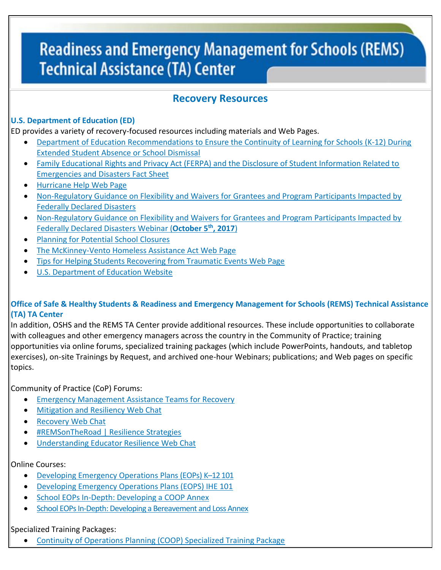# **Readiness and Emergency Management for Schools (REMS) Technical Assistance (TA) Center**

## **Recovery Resources**

### **U.S. Department of Education (ED)**

ED provides a variety of recovery-focused resources including materials and Web Pages.

- [Department of Education Recommendations to Ensure the Continuity of Learning for Schools \(K‐12\) During](http://rems.ed.gov/docs/ED_ContinuityOfLearning-SchoolDismissalsK-12.pdf)  [Extended Student Absence or School Dismissal](http://rems.ed.gov/docs/ED_ContinuityOfLearning-SchoolDismissalsK-12.pdf)
- [Family Educational Rights and Privacy Act \(FERPA\) and the Disclosure of Student Information Related to](https://www2.ed.gov/policy/gen/guid/fpco/pdf/ferpa-disaster-guidance.pdf)  [Emergencies and Disasters Fact Sheet](https://www2.ed.gov/policy/gen/guid/fpco/pdf/ferpa-disaster-guidance.pdf)
- [Hurricane Help Web Page](https://www.ed.gov/hurricane-help?src=feature)
- [Non-Regulatory Guidance on Flexibility and Waivers for Grantees and Program Participants Impacted by](https://safesupportivelearning.ed.gov/sites/default/files/disaster-guidance.pdf)  [Federally Declared Disasters](https://safesupportivelearning.ed.gov/sites/default/files/disaster-guidance.pdf)
- [Non-Regulatory Guidance on Flexibility and Waivers for Grantees and Program Participants Impacted by](https://safesupportivelearning.ed.gov/events/webinar/non-regulatory-guidance-flexibility-and-waivers-grantees-and-program-participants)  [Federally Declared Disasters](https://safesupportivelearning.ed.gov/events/webinar/non-regulatory-guidance-flexibility-and-waivers-grantees-and-program-participants) Webinar (**October 5th, 2017**)
- [Planning for Potential School Closures](http://rems.ed.gov/docs/PlanningforPotentialSchoolClosures.pdf)
- [The McKinney-Vento Homeless Assistance Act Web Page](https://nche.ed.gov/legis/mv.php)
- [Tips for Helping Students Recovering from Traumatic Events Web Page](https://www2.ed.gov/parents/academic/help/recovering/index.html)
- [U.S. Department of Education Website](https://www.ed.gov/)

#### **Office of Safe & Healthy Students & Readiness and Emergency Management for Schools (REMS) Technical Assistance (TA) TA Center**

In addition, OSHS and the REMS TA Center provide additional resources. These include opportunities to collaborate with colleagues and other emergency managers across the country in the Community of Practice; training opportunities via online forums, specialized training packages (which include PowerPoints, handouts, and tabletop exercises), on-site Trainings by Request, and archived one-hour Webinars; publications; and Web pages on specific topics.

Community of Practice (CoP) Forums:

- [Emergency Management Assistance Teams for Recovery](http://rems.ed.gov/COP/REMSCOPforum/topics.aspx?ForumID=89)
- [Mitigation and Resiliency Web Chat](http://rems.ed.gov/COP/REMSCOPforum/topics.aspx?ForumID=125)
- [Recovery Web Chat](http://rems.ed.gov/COP/REMSCOPforum/topics.aspx?ForumID=124)
- [#REMSonTheRoad | Resilience Strategies](http://rems.ed.gov/COP/REMSCOPforum/topics.aspx?ForumID=120)
- [Understanding Educator Resilience Web Chat](http://rems.ed.gov/COP/REMSCOPforum/topics.aspx?ForumID=126)

#### Online Courses:

- [Developing Emergency Operations Plans \(EOPs\) K](http://rems.ed.gov/trainings/CourseK12EOP.aspx)–12 101
- [Developing Emergency Operations Plans \(EOPS\) IHE 101](http://rems.ed.gov/trainings/CourseIHEEOP.aspx)
- [School EOPs In-Depth: Developing a COOP Annex](http://rems.ed.gov/trainings/CourseCOOP.aspx)
- [School EOPs In-Depth: Developing a Bereavement and Loss Annex](http://rems.ed.gov/trainings/CourseBereavement.aspx)

#### Specialized Training Packages:

[Continuity of Operations Planning \(COOP\) Specialized Training Package](http://rems.ed.gov/TrainingPackage.aspx)